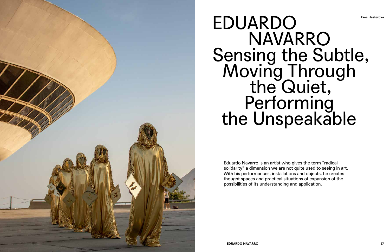

## EDUARDO NAVARRO Sensing the Subtle, Moving Through<br>the Quiet, Performing<br>the Unspeakable

Eduardo Navarro is an artist who gives the term "radical solidarity" a dimension we are not quite used to seeing in art. With his performances, installations and objects, he creates thought spaces and practical situations of expansion of the possibilities of its understanding and application.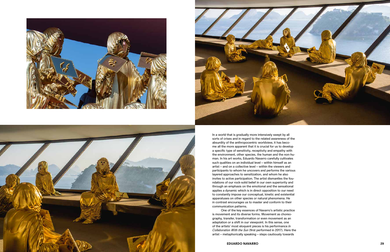





In a world that is gradually more intensively swept by all sorts of crises and in regard to the related awareness of the absurdity of the anthropocentric worldview, it has beco me all the more apparent that it is crucial for us to develop a specific type of sensitivity, receptivity and empathy with the environment, other species, the human and the non-hu man. In his art works, Eduardo Navarro carefully cultivates such qualities on an individual level – within himself as an artist – and on a collective level – within the viewers and participants to whom he uncovers and performs the various layered approaches to sensitization, and whom he also invites to active participation. The artist dismantles the fou ndations of our rock-solid belief in our own superiority and through an emphasis on the emotional and the sensational applies a dynamic which is in direct opposition to our need to constantly impose our conceptual, kinetic and existential apparatuses on other species or natural phenomena. He in contrast encourages us to master and conform to their communication patterns.

One of the key essences of Navarro's artistic practice is movement and its diverse forms. Movement as choreo graphy, transfer, transformation or even movement as an adaptation or a shift in our viewpoint. In this sense, one of the artists' most eloquent pieces is his performance *In Collaboration With the Sun* (first performed in 2017). Here the artist – metaphorically speaking – steps cautiously towards